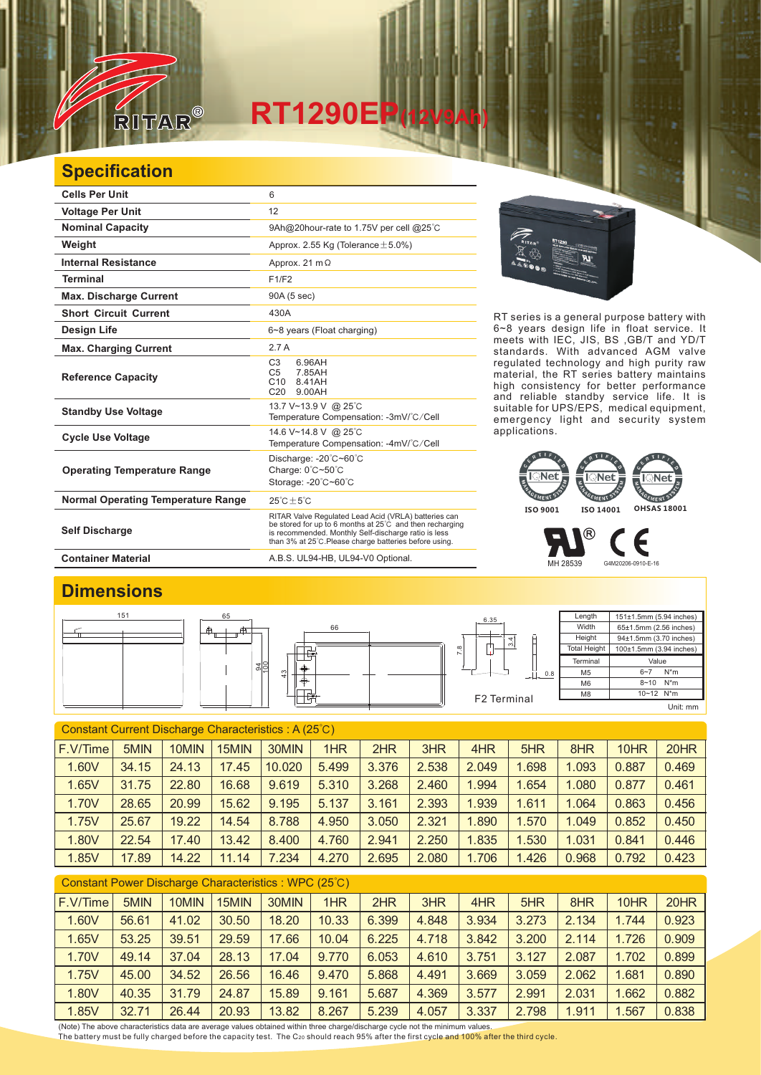

## **RT1290EP(12V9Ah)**

## **Specification**

| <b>Cells Per Unit</b>                     | 6                                                                                                                                                                                                                                  |
|-------------------------------------------|------------------------------------------------------------------------------------------------------------------------------------------------------------------------------------------------------------------------------------|
| <b>Voltage Per Unit</b>                   | 12                                                                                                                                                                                                                                 |
| <b>Nominal Capacity</b>                   | 9Ah@20hour-rate to 1.75V per cell @25°C                                                                                                                                                                                            |
| Weight                                    | Approx. 2.55 Kg (Tolerance $\pm$ 5.0%)                                                                                                                                                                                             |
| <b>Internal Resistance</b>                | Approx. 21 $m\Omega$                                                                                                                                                                                                               |
| <b>Terminal</b>                           | F1/F2                                                                                                                                                                                                                              |
| <b>Max. Discharge Current</b>             | 90A (5 sec)                                                                                                                                                                                                                        |
| <b>Short Circuit Current</b>              | 430A                                                                                                                                                                                                                               |
| <b>Design Life</b>                        | 6~8 years (Float charging)                                                                                                                                                                                                         |
| <b>Max. Charging Current</b>              | 2.7A                                                                                                                                                                                                                               |
| <b>Reference Capacity</b>                 | C <sub>3</sub><br>6.96AH<br>C <sub>5</sub><br>7.85AH<br>C <sub>10</sub><br>8.41AH<br>C <sub>20</sub><br>9.00AH                                                                                                                     |
| <b>Standby Use Voltage</b>                | 13.7 V~13.9 V @ 25°C<br>Temperature Compensation: -3mV/°C/Cell                                                                                                                                                                     |
| <b>Cycle Use Voltage</b>                  | 14.6 V~14.8 V @ 25°C<br>Temperature Compensation: -4mV/°C/Cell                                                                                                                                                                     |
| <b>Operating Temperature Range</b>        | Discharge: $-20^{\circ}$ C $-60^{\circ}$ C<br>Charge: 0°C~50°C<br>Storage: -20°C~60°C                                                                                                                                              |
| <b>Normal Operating Temperature Range</b> | $25^{\circ}$ C + 5 $^{\circ}$ C                                                                                                                                                                                                    |
| <b>Self Discharge</b>                     | RITAR Valve Regulated Lead Acid (VRLA) batteries can<br>be stored for up to 6 months at 25°C and then recharging<br>is recommended. Monthly Self-discharge ratio is less<br>than 3% at 25°C. Please charge batteries before using. |

**Container Material** A.B.S. UL94-HB, UL94-V0 Optional.



RT series is a general purpose battery with 6~8 years design life in float service. It meets with IEC, JIS, BS ,GB/T and YD/T standards. With advanced AGM valve regulated technology and high purity raw material, the RT series battery maintains high consistency for better performance and reliable standby service life. It is suitable for UPS/EPS, medical equipment, emergency light and security system applications.



® Е MH 28539 G4M20206-0910-E-16

## **Dimensions**



| Constant Current Discharge Characteristics: A (25°C) |       |       |       |        |       |       |       |       |       |       |       |       |
|------------------------------------------------------|-------|-------|-------|--------|-------|-------|-------|-------|-------|-------|-------|-------|
| F.V/Time                                             | 5MIN  | 10MIN | 15MIN | 30MIN  | 1HR   | 2HR   | 3HR   | 4HR   | 5HR   | 8HR   | 10HR  | 20HR  |
| 1.60V                                                | 34.15 | 24.13 | 17.45 | 10.020 | 5.499 | 3.376 | 2.538 | 2.049 | 1.698 | 1.093 | 0.887 | 0.469 |
| 1.65V                                                | 31.75 | 22.80 | 16.68 | 9.619  | 5.310 | 3.268 | 2.460 | 1.994 | 1.654 | 1.080 | 0.877 | 0.461 |
| 1.70V                                                | 28.65 | 20.99 | 15.62 | 9.195  | 5.137 | 3.161 | 2.393 | 1.939 | 1.611 | 1.064 | 0.863 | 0.456 |
| 1.75V                                                | 25.67 | 19.22 | 14.54 | 8.788  | 4.950 | 3.050 | 2.321 | 1.890 | 1.570 | 1.049 | 0.852 | 0.450 |
| 1.80V                                                | 22.54 | 17.40 | 13.42 | 8.400  | 4.760 | 2.941 | 2.250 | 1.835 | 1.530 | 1.031 | 0.841 | 0.446 |
| 1.85V                                                | 17.89 | 14.22 | 11.14 | 7.234  | 4.270 | 2.695 | 2.080 | 1.706 | 1.426 | 0.968 | 0.792 | 0.423 |
|                                                      |       |       |       |        |       |       |       |       |       |       |       |       |

| Constant Power Discharge Characteristics: WPC (25°C) |       |       |       |       |       |       |       |       |       |       |       |       |
|------------------------------------------------------|-------|-------|-------|-------|-------|-------|-------|-------|-------|-------|-------|-------|
| F.V/Time                                             | 5MIN  | 10MIN | 15MIN | 30MIN | 1HR   | 2HR   | 3HR   | 4HR   | 5HR   | 8HR   | 10HR  | 20HR  |
| 1.60V                                                | 56.61 | 41.02 | 30.50 | 18.20 | 10.33 | 6.399 | 4.848 | 3.934 | 3.273 | 2.134 | 1.744 | 0.923 |
| 1.65V                                                | 53.25 | 39.51 | 29.59 | 17.66 | 10.04 | 6.225 | 4.718 | 3.842 | 3.200 | 2.114 | 1.726 | 0.909 |
| 1.70V                                                | 49.14 | 37.04 | 28.13 | 17.04 | 9.770 | 6.053 | 4.610 | 3.751 | 3.127 | 2.087 | 1.702 | 0.899 |
| 1.75V                                                | 45.00 | 34.52 | 26.56 | 16.46 | 9.470 | 5.868 | 4.491 | 3.669 | 3.059 | 2.062 | 1.681 | 0.890 |
| 1.80V                                                | 40.35 | 31.79 | 24.87 | 15.89 | 9.161 | 5.687 | 4.369 | 3.577 | 2.991 | 2.031 | 1.662 | 0.882 |
| 1.85V                                                | 32.71 | 26.44 | 20.93 | 13.82 | 8.267 | 5.239 | 4.057 | 3.337 | 2.798 | 1.911 | 1.567 | 0.838 |

(Note) The above characteristics data are average values obtained within three charge/discharge cycle not the minimum values.<br><u>T</u>he battery must be fully charged before the capacity test. The C20 should reach 95% after th